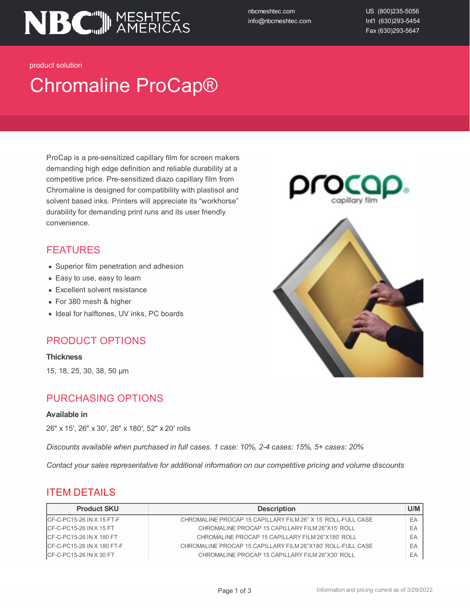

nbcmeshtec.com info@nbcmeshtec.com US (800)235-5056 Int'l (630)293-5454 Fax (630)293-5647

product solution

# Chromaline ProCap®

ProCap is a pre-sensitized capillary film for screen makers demanding high edge definition and reliable durability at a competitive price. Pre-sensitized diazo capillary film from Chromaline is designed for compatibility with plastisol and solvent based inks. Printers will appreciate its "workhorse" durability for demanding print runs and its user friendly convenience.

### FEATURES

- Superior film penetration and adhesion
- Easy to use, easy to learn
- Excellent solvent resistance
- For 380 mesh & higher
- Ideal for halftones, UV inks, PC boards

### PRODUCT OPTIONS

#### **Thickness**

15, 18, 25, 30, 38, 50 µm

### PURCHASING OPTIONS

#### **Available in**

26″ x 15′, 26″ x 30′, 26″ x 180′, 52″ x 20′ rolls

*Discounts available when purchased in full cases. 1 case: 10%, 2-4 cases: 15%, 5+ cases: 20%*

*Contact your sales representative for additional information on our competitive pricing and volume discounts*

### ITEM DETAILS

| <b>Product SKU</b>           | <b>Description</b>                                           | U/M |
|------------------------------|--------------------------------------------------------------|-----|
| $ICF-C-PC15-26 IN X 15 FT-F$ | CHROMALINE PROCAP 15 CAPILLARY FILM 26" X 15' ROLL-FULL CASE | EA  |
| $ICF-C-PC15-26 INX15FT$      | CHROMALINE PROCAP 15 CAPILLARY FILM 26"X15' ROLL             | EA  |
| ICF-C-PC15-26 IN X 180 FT    | CHROMALINE PROCAP 15 CAPILLARY FILM 26"X180' ROLL            | EA  |
| $ICF-C-PC15-26 INX 180 FT-F$ | CHROMALINE PROCAP 15 CAPILLARY FILM 26"X180' ROLL-FULL CASE  | EA  |
| $ICF-C-PC15-26 INX30 FT$     | CHROMALINE PROCAP 15 CAPILLARY FILM 26"X30' ROLL             | EA  |

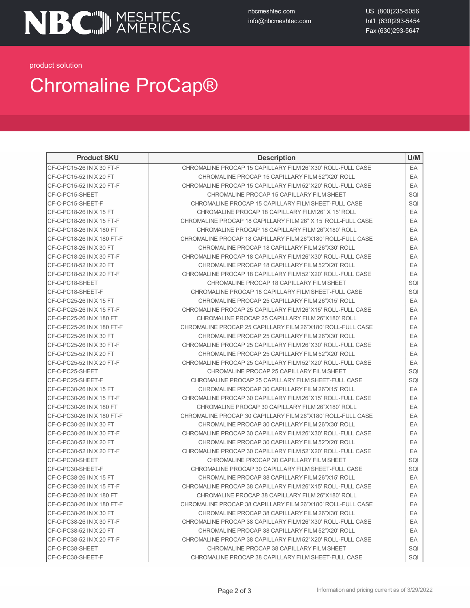nbcmeshtec.com info@nbcmeshtec.com US (800)235-5056 Int'l (630)293-5454 Fax (630)293-5647

product solution

## Chromaline ProCap®

| <b>Product SKU</b>         | <b>Description</b>                                           | U/M |
|----------------------------|--------------------------------------------------------------|-----|
| CF-C-PC15-26 IN X 30 FT-F  | CHROMALINE PROCAP 15 CAPILLARY FILM 26"X30' ROLL-FULL CASE   | EA  |
| CF-C-PC15-52 IN X 20 FT    | CHROMALINE PROCAP 15 CAPILLARY FILM 52"X20' ROLL             | EA  |
| CF-C-PC15-52 IN X 20 FT-F  | CHROMALINE PROCAP 15 CAPILLARY FILM 52"X20' ROLL-FULL CASE   | EA  |
| CF-C-PC15-SHEET            | CHROMALINE PROCAP 15 CAPILLARY FILM SHEET                    | SQI |
| CF-C-PC15-SHEET-F          | CHROMALINE PROCAP 15 CAPILLARY FILM SHEET-FULL CASE          | SQI |
| CF-C-PC18-26 IN X 15 FT    | CHROMALINE PROCAP 18 CAPILLARY FILM 26" X 15' ROLL           | EA  |
| CF-C-PC18-26 IN X 15 FT-F  | CHROMALINE PROCAP 18 CAPILLARY FILM 26" X 15' ROLL-FULL CASE | EA  |
| CF-C-PC18-26 IN X 180 FT   | CHROMALINE PROCAP 18 CAPILLARY FILM 26"X180' ROLL            | EA  |
| CF-C-PC18-26 IN X 180 FT-F | CHROMALINE PROCAP 18 CAPILLARY FILM 26"X180' ROLL-FULL CASE  | EA  |
| CF-C-PC18-26 IN X 30 FT    | CHROMALINE PROCAP 18 CAPILLARY FILM 26"X30' ROLL             | EA  |
| CF-C-PC18-26 IN X 30 FT-F  | CHROMALINE PROCAP 18 CAPILLARY FILM 26"X30' ROLL-FULL CASE   | EA  |
| CF-C-PC18-52 IN X 20 FT    | CHROMALINE PROCAP 18 CAPILLARY FILM 52"X20' ROLL             | EA  |
| CF-C-PC18-52 IN X 20 FT-F  | CHROMALINE PROCAP 18 CAPILLARY FILM 52"X20' ROLL-FULL CASE   | EA  |
| CF-C-PC18-SHEET            | CHROMALINE PROCAP 18 CAPILLARY FILM SHEET                    | SQI |
| CF-C-PC18-SHEET-F          | CHROMALINE PROCAP 18 CAPILLARY FILM SHEET-FULL CASE          | SQI |
| CF-C-PC25-26 IN X 15 FT    | CHROMALINE PROCAP 25 CAPILLARY FILM 26"X15' ROLL             | EA  |
| CF-C-PC25-26 IN X 15 FT-F  | CHROMALINE PROCAP 25 CAPILLARY FILM 26"X15' ROLL-FULL CASE   | EA  |
| CF-C-PC25-26 IN X 180 FT   | CHROMALINE PROCAP 25 CAPILLARY FILM 26"X180' ROLL            | EA  |
| CF-C-PC25-26 IN X 180 FT-F | CHROMALINE PROCAP 25 CAPILLARY FILM 26"X180' ROLL-FULL CASE  | EA  |
| CF-C-PC25-26 IN X 30 FT    | CHROMALINE PROCAP 25 CAPILLARY FILM 26"X30' ROLL             | EA  |
| CF-C-PC25-26 IN X 30 FT-F  | CHROMALINE PROCAP 25 CAPILLARY FILM 26"X30' ROLL-FULL CASE   | EA  |
| CF-C-PC25-52 IN X 20 FT    | CHROMALINE PROCAP 25 CAPILLARY FILM 52"X20' ROLL             | EA  |
| CF-C-PC25-52 IN X 20 FT-F  | CHROMALINE PROCAP 25 CAPILLARY FILM 52"X20' ROLL-FULL CASE   | EA  |
| CF-C-PC25-SHEET            | CHROMALINE PROCAP 25 CAPILLARY FILM SHEET                    | SQI |
| CF-C-PC25-SHEET-F          | CHROMALINE PROCAP 25 CAPILLARY FILM SHEET-FULL CASE          | SQI |
| CF-C-PC30-26 IN X 15 FT    | CHROMALINE PROCAP 30 CAPILLARY FILM 26"X15' ROLL             | EA  |
| CF-C-PC30-26 IN X 15 FT-F  | CHROMALINE PROCAP 30 CAPILLARY FILM 26"X15' ROLL-FULL CASE   | EA  |
| CF-C-PC30-26 IN X 180 FT   | CHROMALINE PROCAP 30 CAPILLARY FILM 26"X180' ROLL            | EA  |
| CF-C-PC30-26 IN X 180 FT-F | CHROMALINE PROCAP 30 CAPILLARY FILM 26"X180' ROLL-FULL CASE  | EA  |
| CF-C-PC30-26 IN X 30 FT    | CHROMALINE PROCAP 30 CAPILLARY FILM 26"X30' ROLL             | EA  |
| CF-C-PC30-26 IN X 30 FT-F  | CHROMALINE PROCAP 30 CAPILLARY FILM 26"X30" ROLL-FULL CASE   | EA  |
| CF-C-PC30-52 IN X 20 FT    | CHROMALINE PROCAP 30 CAPILLARY FILM 52"X20' ROLL             | EA  |
| CF-C-PC30-52 IN X 20 FT-F  | CHROMALINE PROCAP 30 CAPILLARY FILM 52"X20' ROLL-FULL CASE   | EA  |
| CF-C-PC30-SHEET            | CHROMALINE PROCAP 30 CAPILLARY FILM SHEET                    | SQI |
| CF-C-PC30-SHEET-F          | CHROMALINE PROCAP 30 CAPILLARY FILM SHEET-FULL CASE          | SQI |
| CF-C-PC38-26 IN X 15 FT    | CHROMALINE PROCAP 38 CAPILLARY FILM 26"X15' ROLL             | EA  |
| CF-C-PC38-26 IN X 15 FT-F  | CHROMALINE PROCAP 38 CAPILLARY FILM 26"X15' ROLL-FULL CASE   | EA  |
| CF-C-PC38-26 IN X 180 FT   | CHROMALINE PROCAP 38 CAPILLARY FILM 26"X180' ROLL            | EΑ  |
| CF-C-PC38-26 IN X 180 FT-F | CHROMALINE PROCAP 38 CAPILLARY FILM 26"X180' ROLL-FULL CASE  | EA  |
| CF-C-PC38-26 IN X 30 FT    | CHROMALINE PROCAP 38 CAPILLARY FILM 26"X30' ROLL             | EA  |
| CF-C-PC38-26 IN X 30 FT-F  | CHROMALINE PROCAP 38 CAPILLARY FILM 26"X30" ROLL-FULL CASE   | EA  |
| CF-C-PC38-52 IN X 20 FT    | CHROMALINE PROCAP 38 CAPILLARY FILM 52"X20' ROLL             | EA  |
| CF-C-PC38-52 IN X 20 FT-F  | CHROMALINE PROCAP 38 CAPILLARY FILM 52"X20' ROLL-FULL CASE   | EA  |
| CF-C-PC38-SHEET            | CHROMALINE PROCAP 38 CAPILLARY FILM SHEET                    | SQI |
| CF-C-PC38-SHEET-F          | CHROMALINE PROCAP 38 CAPILLARY FILM SHEET-FULL CASE          | SQI |